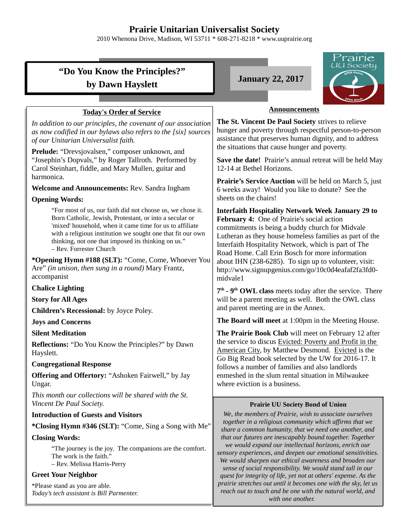# **Prairie Unitarian Universalist Society**

2010 Whenona Drive, Madison, WI 53711 \* 608-271-8218 \* www.uuprairie.org

|                                                                                                                                                                                                                                                                                                                                    | Prairie<br>UU Society                                                                                                                                                                                                                                                                                                           |  |  |
|------------------------------------------------------------------------------------------------------------------------------------------------------------------------------------------------------------------------------------------------------------------------------------------------------------------------------------|---------------------------------------------------------------------------------------------------------------------------------------------------------------------------------------------------------------------------------------------------------------------------------------------------------------------------------|--|--|
| "Do You Know the Principles?"                                                                                                                                                                                                                                                                                                      |                                                                                                                                                                                                                                                                                                                                 |  |  |
| by Dawn Hayslett                                                                                                                                                                                                                                                                                                                   | <b>January 22, 2017</b>                                                                                                                                                                                                                                                                                                         |  |  |
|                                                                                                                                                                                                                                                                                                                                    | PEN MI                                                                                                                                                                                                                                                                                                                          |  |  |
| <b>Today's Order of Service</b>                                                                                                                                                                                                                                                                                                    | <b>Announcements</b>                                                                                                                                                                                                                                                                                                            |  |  |
| In addition to our principles, the covenant of our association<br>as now codified in our bylaws also refers to the [six] sources<br>of our Unitarian Universalist faith.                                                                                                                                                           | The St. Vincent De Paul Society strives to relieve<br>hunger and poverty through respectful person-to-person<br>assistance that preserves human dignity, and to address<br>the situations that cause hunger and poverty.                                                                                                        |  |  |
| Prelude: "Drevsjovalsen," composer unknown, and<br>"Josephin's Dopvals," by Roger Tallroth. Performed by<br>Carol Steinhart, fiddle, and Mary Mullen, guitar and<br>harmonica.                                                                                                                                                     | Save the date! Prairie's annual retreat will be held May<br>12-14 at Bethel Horizons.                                                                                                                                                                                                                                           |  |  |
|                                                                                                                                                                                                                                                                                                                                    | Prairie's Service Auction will be held on March 5, just                                                                                                                                                                                                                                                                         |  |  |
| Welcome and Announcements: Rev. Sandra Ingham<br><b>Opening Words:</b>                                                                                                                                                                                                                                                             | 6 weeks away! Would you like to donate? See the<br>sheets on the chairs!                                                                                                                                                                                                                                                        |  |  |
| "For most of us, our faith did not choose us, we chose it.<br>Born Catholic, Jewish, Protestant, or into a secular or<br>'mixed' household, when it came time for us to affiliate<br>with a religious institution we sought one that fit our own<br>thinking, not one that imposed its thinking on us."<br>- Rev. Forrester Church | <b>Interfaith Hospitality Network Week January 29 to</b><br>February 4: One of Prairie's social action<br>commitments is being a buddy church for Midvale<br>Lutheran as they house homeless families as part of the<br>Interfaith Hospitality Network, which is part of The<br>Road Home. Call Erin Bosch for more information |  |  |
| * <b>Opening Hymn #188 (SLT):</b> "Come, Come, Whoever You<br>Are" (in unison, then sung in a round) Mary Frantz,<br>accompanist                                                                                                                                                                                                   | about IHN (238-6285). To sign up to volunteer, visit:<br>http://www.signupgenius.com/go/10c0d4eafaf2fa3fd0-<br>midvale1                                                                                                                                                                                                         |  |  |
| <b>Chalice Lighting</b>                                                                                                                                                                                                                                                                                                            | 7 <sup>th</sup> - 9 <sup>th</sup> OWL class meets today after the service. There                                                                                                                                                                                                                                                |  |  |
| <b>Story for All Ages</b>                                                                                                                                                                                                                                                                                                          | will be a parent meeting as well. Both the OWL class                                                                                                                                                                                                                                                                            |  |  |
| Children's Recessional: by Joyce Poley.                                                                                                                                                                                                                                                                                            | and parent meeting are in the Annex.                                                                                                                                                                                                                                                                                            |  |  |
| <b>Joys and Concerns</b>                                                                                                                                                                                                                                                                                                           | The Board will meet at 1:00pm in the Meeting House.                                                                                                                                                                                                                                                                             |  |  |
| <b>Silent Meditation</b><br>Reflections: "Do You Know the Principles?" by Dawn<br>Hayslett.                                                                                                                                                                                                                                        | The Prairie Book Club will meet on February 12 after<br>the service to discus Evicted: Poverty and Profit in the<br>American City, by Matthew Desmond. Evicted is the                                                                                                                                                           |  |  |
| <b>Congregational Response</b>                                                                                                                                                                                                                                                                                                     | Go Big Read book selected by the UW for 2016-17. It<br>follows a number of families and also landlords                                                                                                                                                                                                                          |  |  |
| <b>Offering and Offertory:</b> "Ashoken Fairwell," by Jay<br>Ungar.                                                                                                                                                                                                                                                                | enmeshed in the slum rental situation in Milwaukee<br>where eviction is a business.                                                                                                                                                                                                                                             |  |  |
| This month our collections will be shared with the St.                                                                                                                                                                                                                                                                             |                                                                                                                                                                                                                                                                                                                                 |  |  |
| Vincent De Paul Society.                                                                                                                                                                                                                                                                                                           | <b>Prairie UU Society Bond of Union</b>                                                                                                                                                                                                                                                                                         |  |  |
| <b>Introduction of Guests and Visitors</b>                                                                                                                                                                                                                                                                                         | We, the members of Prairie, wish to associate ourselves<br>together in a religious community which affirms that we                                                                                                                                                                                                              |  |  |
| *Closing Hymn #346 (SLT): "Come, Sing a Song with Me"                                                                                                                                                                                                                                                                              | share a common humanity, that we need one another, and<br>that our futures are inescapably bound together. Together                                                                                                                                                                                                             |  |  |
| <b>Closing Words:</b><br>"The journey is the joy. The companions are the comfort.<br>The work is the faith."<br>- Rev. Melissa Harris-Perry                                                                                                                                                                                        | we would expand our intellectual horizons, enrich our<br>sensory experiences, and deepen our emotional sensitivities.<br>We would sharpen our ethical awareness and broaden our<br>sense of social responsibility. We would stand tall in our                                                                                   |  |  |
| <b>Greet Your Neighbor</b>                                                                                                                                                                                                                                                                                                         | quest for integrity of life, yet not at others' expense. As the                                                                                                                                                                                                                                                                 |  |  |
| *Please stand as you are able.<br>Today's tech assistant is Bill Parmenter.                                                                                                                                                                                                                                                        | prairie stretches out until it becomes one with the sky, let us<br>reach out to touch and be one with the natural world, and                                                                                                                                                                                                    |  |  |

**Contract Contract Contract Contract**  $\sim$   $\sim$ 

### *with one another.*